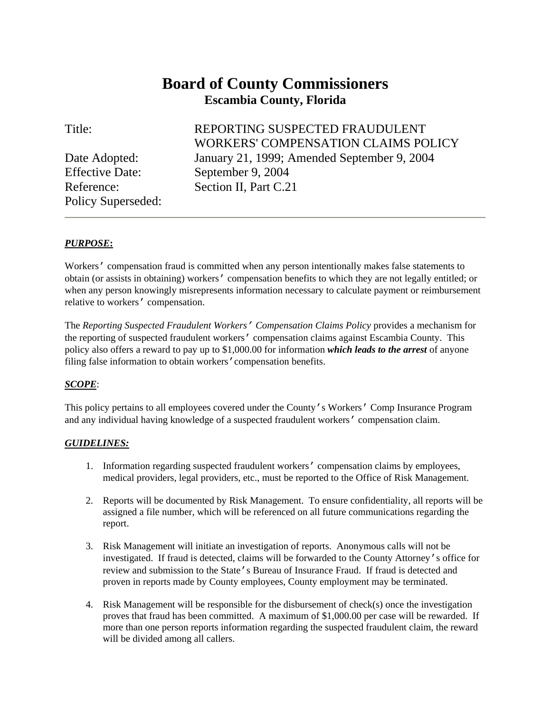## **Board of County Commissioners Escambia County, Florida**

Effective Date: September 9, 2004 Policy Superseded:

Title: REPORTING SUSPECTED FRAUDULENT WORKERS' COMPENSATION CLAIMS POLICY Date Adopted: January 21, 1999; Amended September 9, 2004 Reference: Section II, Part C.21

## *PURPOSE***:**

Workers' compensation fraud is committed when any person intentionally makes false statements to obtain (or assists in obtaining) workers' compensation benefits to which they are not legally entitled; or when any person knowingly misrepresents information necessary to calculate payment or reimbursement relative to workers' compensation.

The *Reporting Suspected Fraudulent Workers' Compensation Claims Policy* provides a mechanism for the reporting of suspected fraudulent workers' compensation claims against Escambia County. This policy also offers a reward to pay up to \$1,000.00 for information *which leads to the arrest* of anyone filing false information to obtain workers'compensation benefits.

## *SCOPE*:

This policy pertains to all employees covered under the County's Workers' Comp Insurance Program and any individual having knowledge of a suspected fraudulent workers' compensation claim.

## *GUIDELINES:*

- 1. Information regarding suspected fraudulent workers' compensation claims by employees, medical providers, legal providers, etc., must be reported to the Office of Risk Management.
- 2. Reports will be documented by Risk Management. To ensure confidentiality, all reports will be assigned a file number, which will be referenced on all future communications regarding the report.
- 3. Risk Management will initiate an investigation of reports. Anonymous calls will not be investigated. If fraud is detected, claims will be forwarded to the County Attorney's office for review and submission to the State's Bureau of Insurance Fraud. If fraud is detected and proven in reports made by County employees, County employment may be terminated.
- 4. Risk Management will be responsible for the disbursement of check(s) once the investigation proves that fraud has been committed. A maximum of \$1,000.00 per case will be rewarded. If more than one person reports information regarding the suspected fraudulent claim, the reward will be divided among all callers.